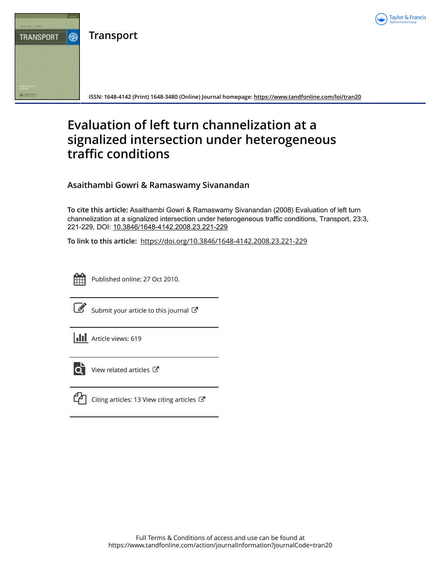

**Transport**



**ISSN: 1648-4142 (Print) 1648-3480 (Online) Journal homepage:<https://www.tandfonline.com/loi/tran20>**

# **Evaluation of left turn channelization at a signalized intersection under heterogeneous traffic conditions**

**Asaithambi Gowri & Ramaswamy Sivanandan**

**To cite this article:** Asaithambi Gowri & Ramaswamy Sivanandan (2008) Evaluation of left turn channelization at a signalized intersection under heterogeneous traffic conditions, Transport, 23:3, 221-229, DOI: [10.3846/1648-4142.2008.23.221-229](https://www.tandfonline.com/action/showCitFormats?doi=10.3846/1648-4142.2008.23.221-229)

**To link to this article:** <https://doi.org/10.3846/1648-4142.2008.23.221-229>



Published online: 27 Oct 2010.



 $\overrightarrow{S}$  [Submit your article to this journal](https://www.tandfonline.com/action/authorSubmission?journalCode=tran20&show=instructions)  $\overrightarrow{S}$ 





 $\overline{\mathbf{C}}$  [View related articles](https://www.tandfonline.com/doi/mlt/10.3846/1648-4142.2008.23.221-229)  $\mathbf{C}$ 



[Citing articles: 13 View citing articles](https://www.tandfonline.com/doi/citedby/10.3846/1648-4142.2008.23.221-229#tabModule)  $\mathbb{Z}$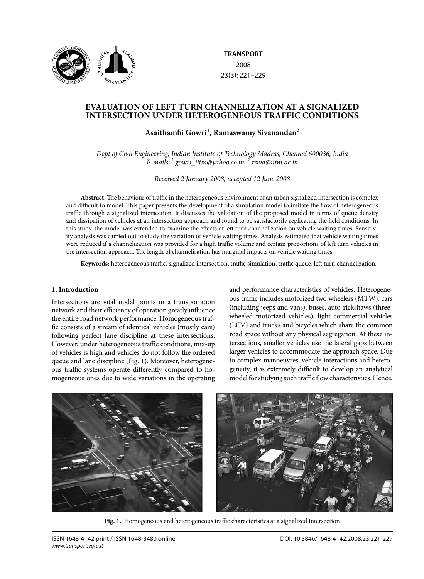

**TRANSPORT** 2008 23(3): 221–229

# **EVALUATION OF LEFT TURN CHANNELIZATION AT A SIGNALIZED INTERSECTION UNDER HETEROGENEOUS TRAFFIC CONDITIONS**

# **Asaithambi Gowri1 , Ramaswamy Sivanandan2**

*Dept of Civil Engineering, Indian Institute of Technology Madras, Chennai 600036, India E-mails:* <sup>1</sup> *gowri\_iitm@yahoo.co.in;* <sup>2</sup>  *rsiva@iitm.ac.in*

*Received 2 January 2008; accepted 12 June 2008*

**Abstract.** The behaviour of traffic in the heterogeneous environment of an urban signalized intersection is complex and difficult to model. This paper presents the development of a simulation model to imitate the flow of heterogeneous traffic through a signalized intersection. It discusses the validation of the proposed model in terms of queue density and dissipation of vehicles at an intersection approach and found to be satisfactorily replicating the field conditions. In this study, the model was extended to examine the effects of left turn channelization on vehicle waiting times. Sensitivity analysis was carried out to study the variation of vehicle waiting times. Analysis estimated that vehicle waiting times were reduced if a channelization was provided for a high traffic volume and certain proportions of left turn vehicles in the intersection approach. The length of channelisation has marginal impacts on vehicle waiting times.

**Keywords:** heterogeneous traffic, signalized intersection, traffic simulation, traffic queue, left turn channelization.

# **1. Introduction**

Intersections are vital nodal points in a transportation network and their efficiency of operation greatly influence the entire road network performance. Homogeneous traffic consists of a stream of identical vehicles (mostly cars) following perfect lane discipline at these intersections. However, under heterogeneous traffic conditions, mix-up of vehicles is high and vehicles do not follow the ordered queue and lane discipline (Fig. 1). Moreover, heterogeneous traffic systems operate differently compared to homogeneous ones due to wide variations in the operating and performance characteristics of vehicles. Heterogeneous traffic includes motorized two wheelers (MTW), cars (including jeeps and vans), buses, auto-rickshaws (threewheeled motorized vehicles), light commercial vehicles (LCV) and trucks and bicycles which share the common road space without any physical segregation. At these intersections, smaller vehicles use the lateral gaps between larger vehicles to accommodate the approach space. Due to complex manoeuvres, vehicle interactions and heterogeneity, it is extremely difficult to develop an analytical model for studying such traffic flow characteristics. Hence,



**Fig. 1.** Homogeneous and heterogeneous traffic characteristics at a signalized intersection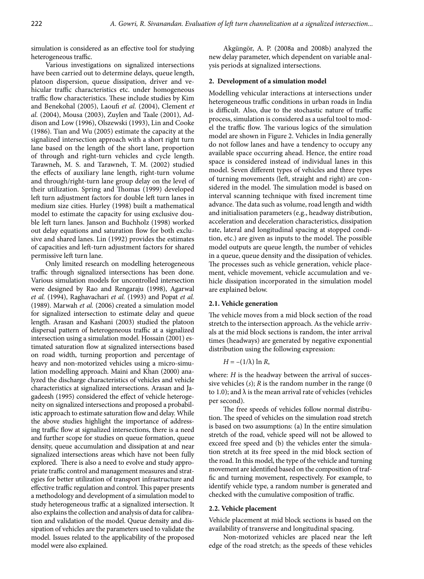simulation is considered as an effective tool for studying heterogeneous traffic.

Various investigations on signalized intersections have been carried out to determine delays, queue length, platoon dispersion, queue dissipation, driver and vehicular traffic characteristics etc. under homogeneous traffic flow characteristics. These include studies by Kim and Benekohal (2005), Laoufi *et al.* (2004), Clement *et al.* (2004), Mousa (2003), Zuylen and Taale (2001), Addison and Low (1996), Olszewski (1993), Lin and Cooke (1986). Tian and Wu (2005) estimate the capacity at the signalized intersection approach with a short right turn lane based on the length of the short lane, proportion of through and right-turn vehicles and cycle length. Tarawneh, M. S. and Tarawneh, T. M. (2002) studied the effects of auxiliary lane length, right-turn volume and through/right-turn lane group delay on the level of their utilization. Spring and Thomas (1999) developed left turn adjustment factors for double left turn lanes in medium size cities. Hurley (1998) built a mathematical model to estimate the capacity for using exclusive double left turn lanes. Janson and Buchholz (1998) worked out delay equations and saturation flow for both exclusive and shared lanes. Lin (1992) provides the estimates of capacities and left-turn adjustment factors for shared permissive left turn lane.

Only limited research on modelling heterogeneous traffic through signalized intersections has been done. Various simulation models for uncontrolled intersection were designed by Rao and Rengaraju (1998), Agarwal *et al.* (1994), Raghavachari *et al.* (1993) and Popat *et al.* (1989). Marwah *et al.* (2006) created a simulation model for signalized intersection to estimate delay and queue length. Arasan and Kashani (2003) studied the platoon dispersal pattern of heterogeneous traffic at a signalized intersection using a simulation model. Hossain (2001) estimated saturation flow at signalized intersections based on road width, turning proportion and percentage of heavy and non-motorized vehicles using a micro-simulation modelling approach. Maini and Khan (2000) analyzed the discharge characteristics of vehicles and vehicle characteristics at signalized intersections. Arasan and Jagadeesh (1995) considered the effect of vehicle heterogeneity on signalized intersections and proposed a probabilistic approach to estimate saturation flow and delay. While the above studies highlight the importance of addressing traffic flow at signalized intersections, there is a need and further scope for studies on queue formation, queue density, queue accumulation and dissipation at and near signalized intersections areas which have not been fully explored. There is also a need to evolve and study appropriate traffic control and management measures and strategies for better utilization of transport infrastructure and effective traffic regulation and control. This paper presents a methodology and development of a simulation model to study heterogeneous traffic at a signalized intersection. It also explains the collection and analysis of data for calibration and validation of the model. Queue density and dissipation of vehicles are the parameters used to validate the model. Issues related to the applicability of the proposed model were also explained.

Akgüngör, A. P. (2008a and 2008b) analyzed the new delay parameter, which dependent on variable analysis periods at signalized intersections.

#### **2. Development of a simulation model**

Modelling vehicular interactions at intersections under heterogeneous traffic conditions in urban roads in India is difficult. Also, due to the stochastic nature of traffic process, simulation is considered as a useful tool to model the traffic flow. The various logics of the simulation model are shown in Figure 2. Vehicles in India generally do not follow lanes and have a tendency to occupy any available space occurring ahead. Hence, the entire road space is considered instead of individual lanes in this model. Seven different types of vehicles and three types of turning movements (left, straight and right) are considered in the model. The simulation model is based on interval scanning technique with fixed increment time advance. The data such as volume, road length and width and initialisation parameters (e.g., headway distribution, acceleration and deceleration characteristics, dissipation rate, lateral and longitudinal spacing at stopped condition, etc.) are given as inputs to the model. The possible model outputs are queue length, the number of vehicles in a queue, queue density and the dissipation of vehicles. The processes such as vehicle generation, vehicle placement, vehicle movement, vehicle accumulation and vehicle dissipation incorporated in the simulation model are explained below.

#### **2.1. Vehicle generation**

The vehicle moves from a mid block section of the road stretch to the intersection approach. As the vehicle arrivals at the mid block sections is random, the inter arrival times (headways) are generated by negative exponential distribution using the following expression:

$$
H = -(1/\lambda) \ln R,
$$

where: *H* is the headway between the arrival of successive vehicles (*s*); *R* is the random number in the range (0 to 1.0); and  $\lambda$  is the mean arrival rate of vehicles (vehicles per second).

The free speeds of vehicles follow normal distribution. The speed of vehicles on the simulation road stretch is based on two assumptions: (a) In the entire simulation stretch of the road, vehicle speed will not be allowed to exceed free speed and (b) the vehicles enter the simulation stretch at its free speed in the mid block section of the road. In this model, the type of the vehicle and turning movement are identified based on the composition of traffic and turning movement, respectively. For example, to identify vehicle type, a random number is generated and checked with the cumulative composition of traffic.

#### **2.2. Vehicle placement**

Vehicle placement at mid block sections is based on the availability of transverse and longitudinal spacing.

Non-motorized vehicles are placed near the left edge of the road stretch; as the speeds of these vehicles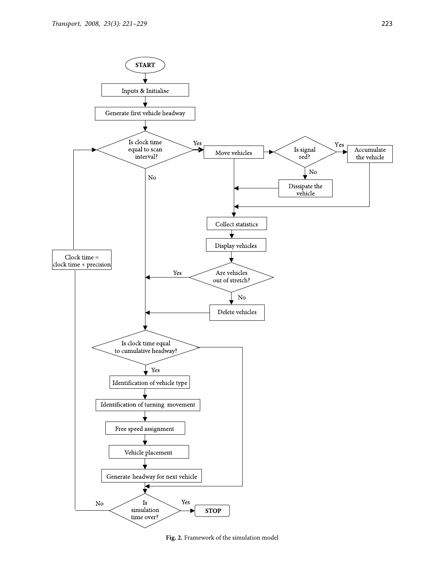

**Fig. 2.** Framework of the simulation model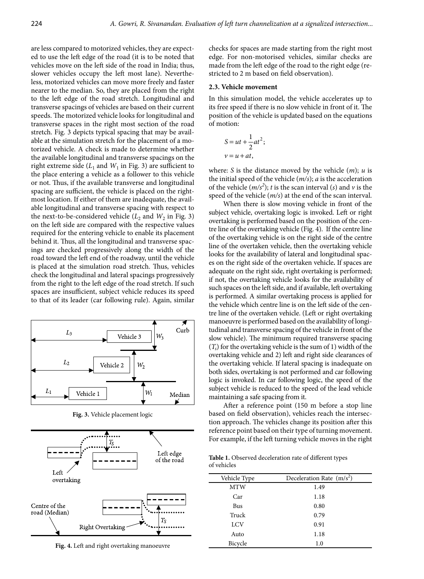are less compared to motorized vehicles, they are expected to use the left edge of the road (it is to be noted that vehicles move on the left side of the road in India; thus, slower vehicles occupy the left most lane). Nevertheless, motorized vehicles can move more freely and faster nearer to the median. So, they are placed from the right to the left edge of the road stretch. Longitudinal and transverse spacings of vehicles are based on their current speeds. The motorized vehicle looks for longitudinal and transverse spaces in the right most section of the road stretch. Fig. 3 depicts typical spacing that may be available at the simulation stretch for the placement of a motorized vehicle. A check is made to determine whether the available longitudinal and transverse spacings on the right extreme side  $(L_1$  and  $W_1$  in Fig. 3) are sufficient to the place entering a vehicle as a follower to this vehicle or not. Thus, if the available transverse and longitudinal spacing are sufficient, the vehicle is placed on the rightmost location. If either of them are inadequate, the available longitudinal and transverse spacing with respect to the next-to-be-considered vehicle  $(L_2 \text{ and } W_2 \text{ in Fig. 3})$ on the left side are compared with the respective values required for the entering vehicle to enable its placement behind it. Thus, all the longitudinal and transverse spacings are checked progressively along the width of the road toward the left end of the roadway, until the vehicle is placed at the simulation road stretch. Thus, vehicles check the longitudinal and lateral spacings progressively from the right to the left edge of the road stretch. If such spaces are insufficient, subject vehicle reduces its speed to that of its leader (car following rule). Again, similar







**Fig. 4.** Left and right overtaking manoeuvre

checks for spaces are made starting from the right most edge. For non-motorised vehicles, similar checks are made from the left edge of the road to the right edge (restricted to 2 m based on field observation).

#### **2.3. Vehicle movement**

In this simulation model, the vehicle accelerates up to its free speed if there is no slow vehicle in front of it. The position of the vehicle is updated based on the equations of motion:

$$
S = ut + \frac{1}{2}at^2
$$
  

$$
v = u + at,
$$

;

where: *S* is the distance moved by the vehicle (*m*); *u* is the initial speed of the vehicle (*m/s*); *a* is the acceleration of the vehicle  $(m/s^2)$ ; *t* is the scan interval (*s*) and *v* is the speed of the vehicle (*m/s*) at the end of the scan interval.

When there is slow moving vehicle in front of the subject vehicle, overtaking logic is invoked. Left or right overtaking is performed based on the position of the centre line of the overtaking vehicle (Fig. 4). If the centre line of the overtaking vehicle is on the right side of the centre line of the overtaken vehicle, then the overtaking vehicle looks for the availability of lateral and longitudinal spaces on the right side of the overtaken vehicle**.** If spaces are adequate on the right side, right overtaking is performed; if not, the overtaking vehicle looks for the availability of such spaces on the left side, and if available, left overtaking is performed. A similar overtaking process is applied for the vehicle which centre line is on the left side of the centre line of the overtaken vehicle. (Left or right overtaking manoeuvre is performed based on the availability of longitudinal and transverse spacing of the vehicle in front of the slow vehicle). The minimum required transverse spacing  $(T<sub>s</sub>)$  for the overtaking vehicle is the sum of 1) width of the overtaking vehicle and 2) left and right side clearances of the overtaking vehicle. If lateral spacing is inadequate on both sides, overtaking is not performed and car following logic is invoked. In car following logic, the speed of the subject vehicle is reduced to the speed of the lead vehicle maintaining a safe spacing from it.

After a reference point (150 m before a stop line based on field observation), vehicles reach the intersection approach. The vehicles change its position after this reference point based on their type of turning movement. For example, if the left turning vehicle moves in the right

**Table 1.** Observed deceleration rate of different types of vehicles

| Vehicle Type | Deceleration Rate $(m/s2)$ |
|--------------|----------------------------|
| <b>MTW</b>   | 1.49                       |
| Car          | 1.18                       |
| Bus          | 0.80                       |
| Truck        | 0.79                       |
| <b>LCV</b>   | 0.91                       |
| Auto         | 1.18                       |
| Bicycle      | 1.0                        |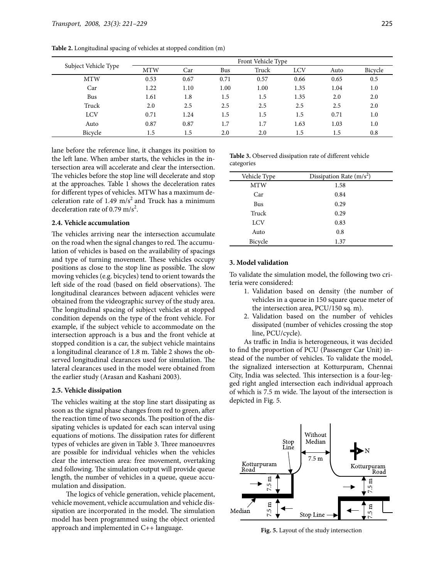**Table 2.** Longitudinal spacing of vehicles at stopped condition (m)

|                      | Front Vehicle Type |      |      |       |            |      |         |
|----------------------|--------------------|------|------|-------|------------|------|---------|
| Subject Vehicle Type | <b>MTW</b>         | Car  | Bus  | Truck | <b>LCV</b> | Auto | Bicycle |
| <b>MTW</b>           | 0.53               | 0.67 | 0.71 | 0.57  | 0.66       | 0.65 | 0.5     |
| Car                  | 1.22               | 1.10 | 1.00 | 1.00  | 1.35       | 1.04 | 1.0     |
| Bus                  | 1.61               | 1.8  | 1.5  | 1.5   | 1.35       | 2.0  | 2.0     |
| Truck                | 2.0                | 2.5  | 2.5  | 2.5   | 2.5        | 2.5  | 2.0     |
| <b>LCV</b>           | 0.71               | 1.24 | 1.5  | 1.5   | 1.5        | 0.71 | 1.0     |
| Auto                 | 0.87               | 0.87 | 1.7  | 1.7   | 1.63       | 1.03 | 1.0     |
| Bicycle              | 1.5                | 1.5  | 2.0  | 2.0   | 1.5        | 1.5  | 0.8     |

lane before the reference line, it changes its position to the left lane. When amber starts, the vehicles in the intersection area will accelerate and clear the intersection. The vehicles before the stop line will decelerate and stop at the approaches. Table 1 shows the deceleration rates for different types of vehicles. MTW has a maximum deceleration rate of 1.49 m/s<sup>2</sup> and Truck has a minimum deceleration rate of 0.79 m/s<sup>2</sup>.

#### **2.4. Vehicle accumulation**

The vehicles arriving near the intersection accumulate on the road when the signal changes to red. The accumulation of vehicles is based on the availability of spacings and type of turning movement. These vehicles occupy positions as close to the stop line as possible. The slow moving vehicles (e.g. bicycles) tend to orient towards the left side of the road (based on field observations). The longitudinal clearances between adjacent vehicles were obtained from the videographic survey of the study area. The longitudinal spacing of subject vehicles at stopped condition depends on the type of the front vehicle. For example, if the subject vehicle to accommodate on the intersection approach is a bus and the front vehicle at stopped condition is a car, the subject vehicle maintains a longitudinal clearance of 1.8 m. Table 2 shows the observed longitudinal clearances used for simulation. The lateral clearances used in the model were obtained from the earlier study (Arasan and Kashani 2003).

#### **2.5. Vehicle dissipation**

The vehicles waiting at the stop line start dissipating as soon as the signal phase changes from red to green, after the reaction time of two seconds. The position of the dissipating vehicles is updated for each scan interval using equations of motions. The dissipation rates for different types of vehicles are given in Table 3. Three manoeuvres are possible for individual vehicles when the vehicles clear the intersection area: free movement, overtaking and following. The simulation output will provide queue length, the number of vehicles in a queue, queue accumulation and dissipation.

The logics of vehicle generation, vehicle placement, vehicle movement, vehicle accumulation and vehicle dissipation are incorporated in the model. The simulation model has been programmed using the object oriented approach and implemented in C++ language.

**Table 3.** Observed dissipation rate of different vehicle categories

| Vehicle Type | Dissipation Rate $(m/s2)$ |  |
|--------------|---------------------------|--|
| <b>MTW</b>   | 1.58                      |  |
| Car          | 0.84                      |  |
| Bus          | 0.29                      |  |
| Truck        | 0.29                      |  |
| <b>LCV</b>   | 0.83                      |  |
| Auto         | 0.8                       |  |
| Bicycle      | 1.37                      |  |

#### **3. Model validation**

To validate the simulation model, the following two criteria were considered:

- 1. Validation based on density (the number of vehicles in a queue in 150 square queue meter of the intersection area, PCU/150 sq. m).
- 2. Validation based on the number of vehicles dissipated (number of vehicles crossing the stop line, PCU/cycle).

As traffic in India is heterogeneous, it was decided to find the proportion of PCU (Passenger Car Unit) instead of the number of vehicles. To validate the model, the signalized intersection at Kotturpuram, Chennai City, India was selected. This intersection is a four-legged right angled intersection each individual approach of which is 7.5 m wide. The layout of the intersection is depicted in Fig. 5.



**Fig. 5.** Layout of the study intersection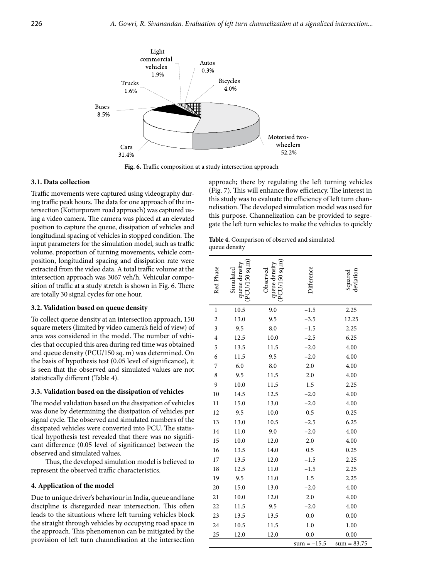

**Fig. 6.** Traffic composition at a study intersection approach

# **3.1. Data collection**

Traffic movements were captured using videography during traffic peak hours. The data for one approach of the intersection (Kotturpuram road approach) was captured using a video camera. The camera was placed at an elevated position to capture the queue, dissipation of vehicles and longitudinal spacing of vehicles in stopped condition. The input parameters for the simulation model, such as traffic volume, proportion of turning movements, vehicle composition, longitudinal spacing and dissipation rate were extracted from the video data. A total traffic volume at the intersection approach was 3067 veh/h. Vehicular composition of traffic at a study stretch is shown in Fig. 6. There are totally 30 signal cycles for one hour.

#### **3.2. Validation based on queue density**

To collect queue density at an intersection approach, 150 square meters (limited by video camera's field of view) of area was considered in the model. The number of vehicles that occupied this area during red time was obtained and queue density (PCU/150 sq. m) was determined. On the basis of hypothesis test (0.05 level of significance), it is seen that the observed and simulated values are not statistically different (Table 4).

# **3.3. Validation based on the dissipation of vehicles**

The model validation based on the dissipation of vehicles was done by determining the dissipation of vehicles per signal cycle. The observed and simulated numbers of the dissipated vehicles were converted into PCU. The statistical hypothesis test revealed that there was no significant difference (0.05 level of significance) between the observed and simulated values.

Thus, the developed simulation model is believed to represent the observed traffic characteristics.

# **4. Application of the model**

Due to unique driver's behaviour in India, queue and lane discipline is disregarded near intersection. This often leads to the situations where left turning vehicles block the straight through vehicles by occupying road space in the approach. This phenomenon can be mitigated by the provision of left turn channelisation at the intersection approach; there by regulating the left turning vehicles (Fig. 7). This will enhance flow efficiency. The interest in this study was to evaluate the efficiency of left turn channelisation. The developed simulation model was used for this purpose. Channelization can be provided to segregate the left turn vehicles to make the vehicles to quickly

**Table 4.** Comparison of observed and simulated queue density

| Red Phase               | nueue dens<br>Simulat | queue densi<br>Observed | <b>Ifference</b> |               |
|-------------------------|-----------------------|-------------------------|------------------|---------------|
| $\,1$                   | 10.5                  | 9.0                     | $-1.5$           | 2.25          |
| $\overline{\mathbf{c}}$ | 13.0                  | 9.5                     | $-3.5$           | 12.25         |
| 3                       | 9.5                   | 8.0                     | $-1.5$           | 2.25          |
| $\overline{4}$          | 12.5                  | 10.0                    | $-2.5$           | 6.25          |
| 5                       | 13.5                  | 11.5                    | $-2.0$           | 4.00          |
| 6                       | 11.5                  | 9.5                     | $-2.0$           | 4.00          |
| 7                       | 6.0                   | 8.0                     | 2.0              | 4.00          |
| 8                       | 9.5                   | 11.5                    | 2.0              | 4.00          |
| 9                       | 10.0                  | 11.5                    | 1.5              | 2.25          |
| 10                      | 14.5                  | 12.5                    | $-2.0$           | 4.00          |
| 11                      | 15.0                  | 13.0                    | $-2.0$           | 4.00          |
| 12                      | 9.5                   | 10.0                    | 0.5              | 0.25          |
| 13                      | 13.0                  | 10.5                    | $-2.5$           | 6.25          |
| 14                      | 11.0                  | 9.0                     | $-2.0$           | 4.00          |
| 15                      | 10.0                  | 12.0                    | 2.0              | 4.00          |
| 16                      | 13.5                  | 14.0                    | 0.5              | 0.25          |
| 17                      | 13.5                  | 12.0                    | $-1.5$           | 2.25          |
| 18                      | 12.5                  | 11.0                    | $-1.5$           | 2.25          |
| 19                      | 9.5                   | 11.0                    | 1.5              | 2.25          |
| 20                      | 15.0                  | 13.0                    | $-2.0$           | 4.00          |
| 21                      | 10.0                  | 12.0                    | 2.0              | 4.00          |
| 22                      | 11.5                  | 9.5                     | $-2.0$           | 4.00          |
| 23                      | 13.5                  | 13.5                    | 0.0              | 0.00          |
| 24                      | 10.5                  | 11.5                    | 1.0              | 1.00          |
| 25                      | 12.0                  | 12.0                    | 0.0              | 0.00          |
|                         |                       |                         | $sum = -15.5$    | $sum = 83.75$ |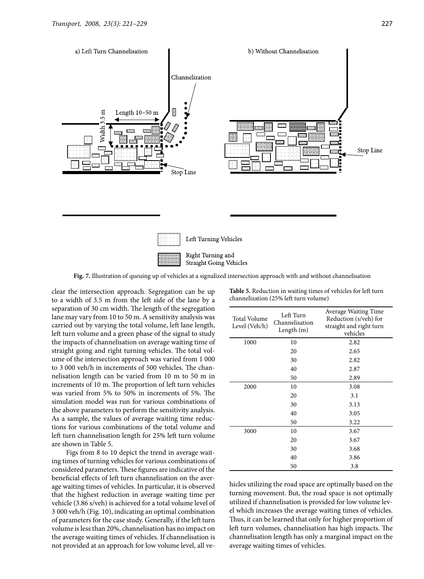

Right Turning and **Straight Going Vehicles** 

**Fig. 7.** Illustration of queuing up of vehicles at a signalized intersection approach with and without channelisation

clear the intersection approach. Segregation can be up to a width of 3.5 m from the left side of the lane by a separation of 30 cm width. The length of the segregation lane may vary from 10 to 50 m. A sensitivity analysis was carried out by varying the total volume, left lane length, left turn volume and a green phase of the signal to study the impacts of channelisation on average waiting time of straight going and right turning vehicles. The total volume of the intersection approach was varied from 1 000 to 3 000 veh/h in increments of 500 vehicles. The channelisation length can be varied from 10 m to 50 m in increments of 10 m. The proportion of left turn vehicles was varied from 5% to 50% in increments of 5%. The simulation model was run for various combinations of the above parameters to perform the sensitivity analysis. As a sample, the values of average waiting time reductions for various combinations of the total volume and left turn channelisation length for 25% left turn volume are shown in Table 5.

Figs from 8 to 10 depict the trend in average waiting times of turning vehicles for various combinations of considered parameters. These figures are indicative of the beneficial effects of left turn channelisation on the average waiting times of vehicles. In particular, it is observed that the highest reduction in average waiting time per vehicle (3.86 s/veh) is achieved for a total volume level of 3 000 veh/h (Fig. 10), indicating an optimal combination of parameters for the case study. Generally, if the left turn volume is less than 20%, channelisation has no impact on the average waiting times of vehicles. If channelisation is not provided at an approach for low volume level, all ve-

| <b>Total Volume</b><br>Level (Veh/h) | Left Turn<br>Channelisation<br>Length $(m)$ | Average Waiting Time<br>Reduction (s/veh) for<br>straight and right turn<br>vehicles |
|--------------------------------------|---------------------------------------------|--------------------------------------------------------------------------------------|
| 1000                                 | 10                                          | 2.82                                                                                 |
|                                      | 20                                          | 2.65                                                                                 |
|                                      | 30                                          | 2.82                                                                                 |
|                                      | 40                                          | 2.87                                                                                 |
|                                      | 50                                          | 2.89                                                                                 |
| 2000                                 | 10                                          | 3.08                                                                                 |
|                                      | 20                                          | 3.1                                                                                  |
|                                      | 30                                          | 3.13                                                                                 |
|                                      | 40                                          | 3.05                                                                                 |
|                                      | 50                                          | 3.22                                                                                 |
| 3000                                 | 10                                          | 3.67                                                                                 |
|                                      | 20                                          | 3.67                                                                                 |
|                                      | 30                                          | 3.68                                                                                 |
|                                      | 40                                          | 3.86                                                                                 |
|                                      | 50                                          | 3.8                                                                                  |

hicles utilizing the road space are optimally based on the turning movement. But, the road space is not optimally utilized if channelisation is provided for low volume level which increases the average waiting times of vehicles. Thus, it can be learned that only for higher proportion of left turn volumes, channelisation has high impacts. The channelisation length has only a marginal impact on the average waiting times of vehicles.

| Table 5. Reduction in waiting times of vehicles for left turn |
|---------------------------------------------------------------|
| channelization (25% left turn volume)                         |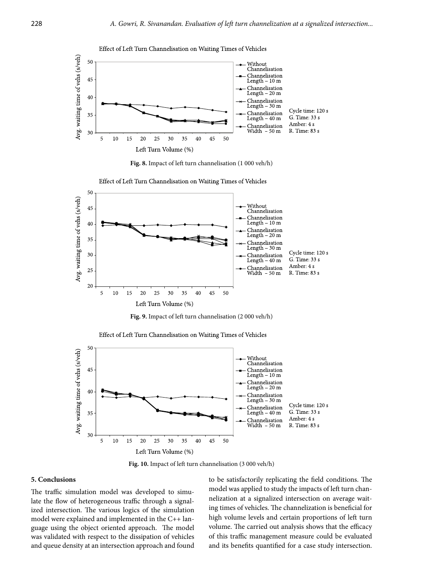

Effect of Left Turn Channelisation on Waiting Times of Vehicles

**Fig. 8.** Impact of left turn channelisation (1 000 veh/h)



**Fig. 9.** Impact of left turn channelisation (2 000 veh/h)

Effect of Left Turn Channelisation on Waiting Times of Vehicles



**Fig. 10.** Impact of left turn channelisation (3 000 veh/h)

#### **5. Conclusions**

The traffic simulation model was developed to simulate the flow of heterogeneous traffic through a signalized intersection. The various logics of the simulation model were explained and implemented in the C++ language using the object oriented approach. The model was validated with respect to the dissipation of vehicles and queue density at an intersection approach and found

to be satisfactorily replicating the field conditions. The model was applied to study the impacts of left turn channelization at a signalized intersection on average waiting times of vehicles. The channelization is beneficial for high volume levels and certain proportions of left turn volume. The carried out analysis shows that the efficacy of this traffic management measure could be evaluated and its benefits quantified for a case study intersection.